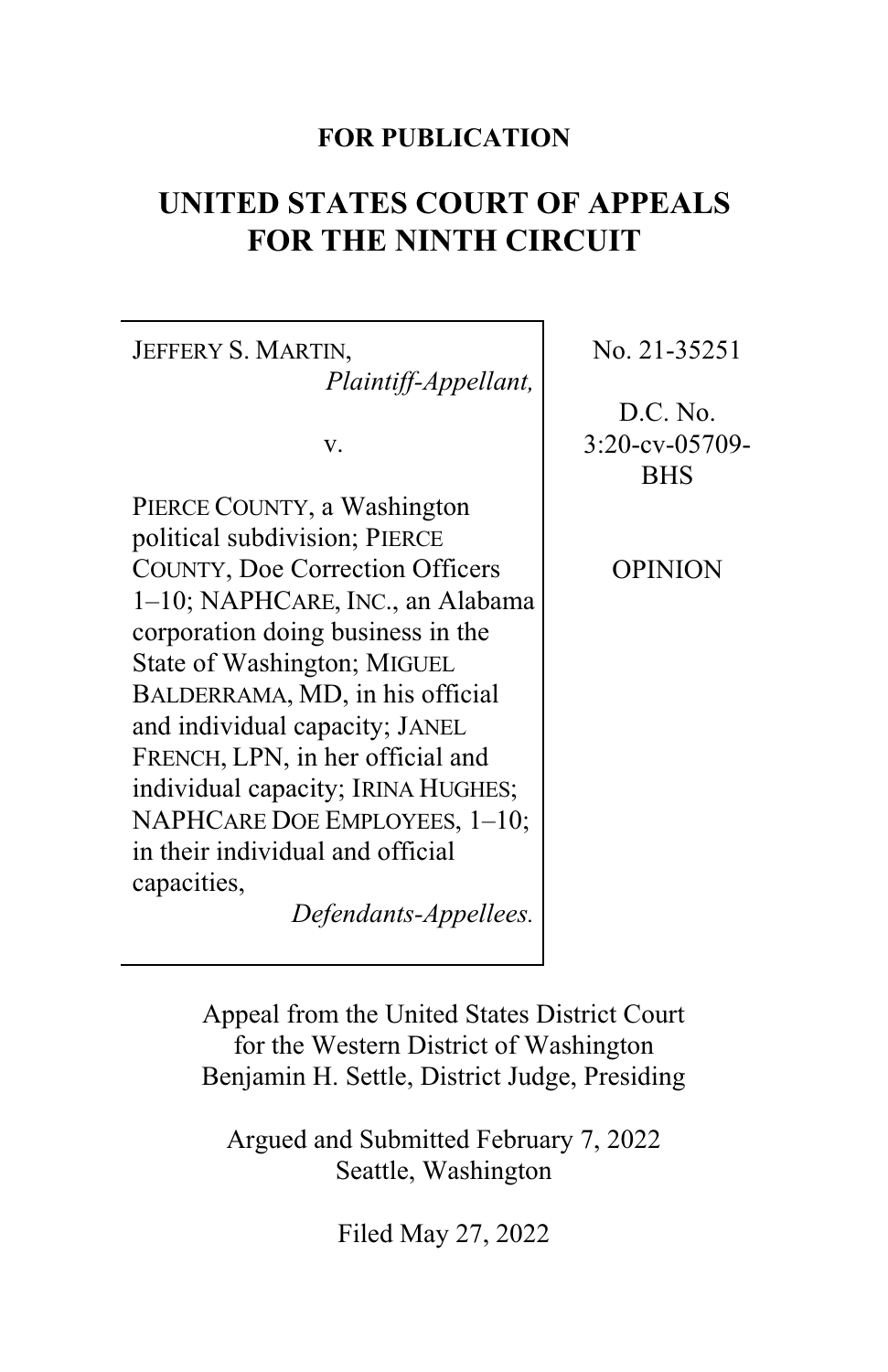# **FOR PUBLICATION**

# **UNITED STATES COURT OF APPEALS FOR THE NINTH CIRCUIT**

JEFFERY S. MARTIN. *Plaintiff-Appellant,*

v.

PIERCE COUNTY, a Washington political subdivision; PIERCE COUNTY, Doe Correction Officers 1–10; NAPHCARE, INC., an Alabama corporation doing business in the State of Washington; MIGUEL BALDERRAMA, MD, in his official and individual capacity; JANEL FRENCH, LPN, in her official and individual capacity; IRINA HUGHES; NAPHCARE DOE EMPLOYEES, 1–10; in their individual and official capacities,

*Defendants-Appellees.*

No. 21-35251

D.C. No. 3:20-cv-05709- **BHS** 

OPINION

Appeal from the United States District Court for the Western District of Washington Benjamin H. Settle, District Judge, Presiding

Argued and Submitted February 7, 2022 Seattle, Washington

Filed May 27, 2022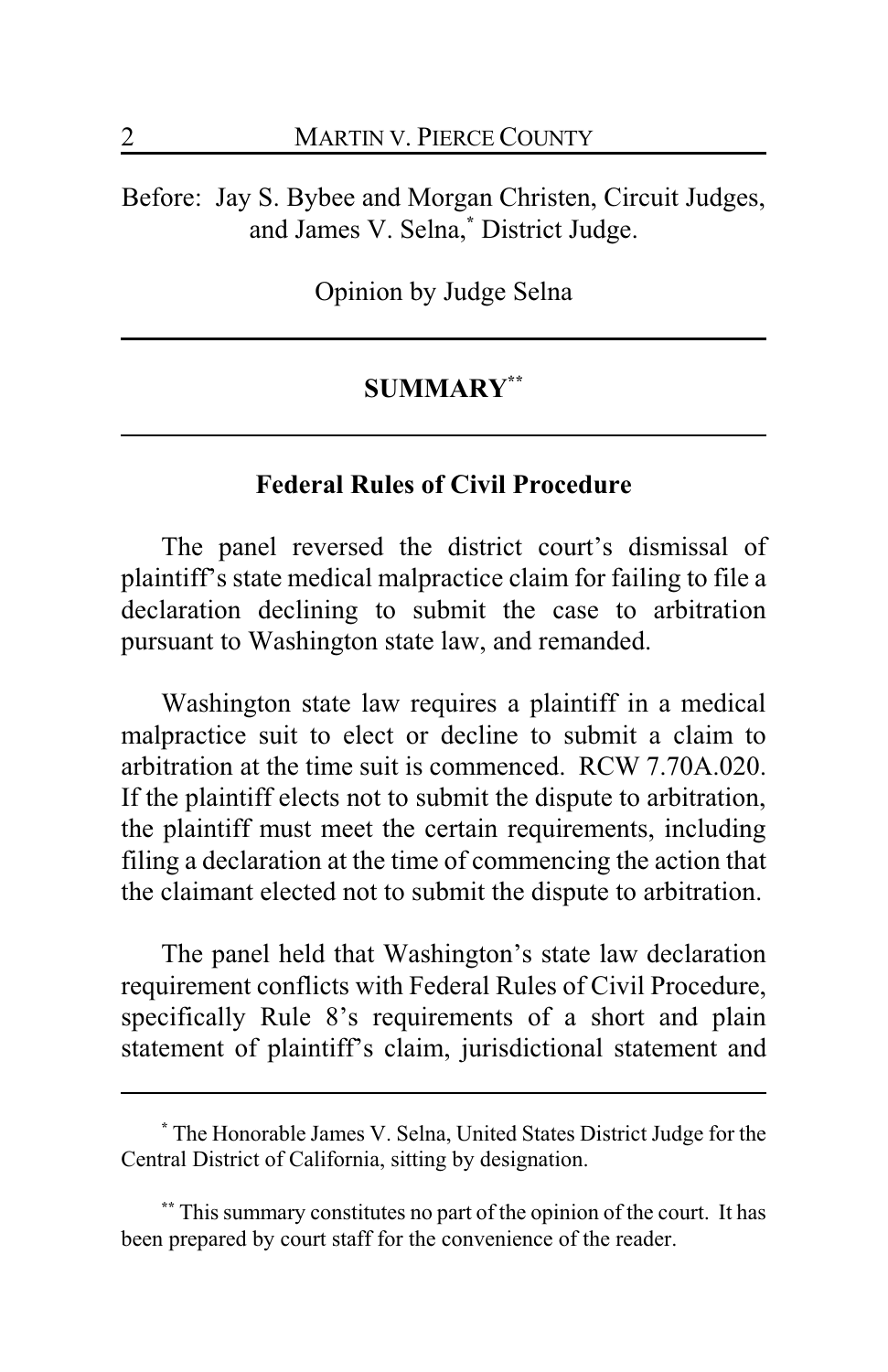Before: Jay S. Bybee and Morgan Christen, Circuit Judges, and James V. Selna,**\*** District Judge.

Opinion by Judge Selna

# **SUMMARY\*\***

#### **Federal Rules of Civil Procedure**

The panel reversed the district court's dismissal of plaintiff's state medical malpractice claim for failing to file a declaration declining to submit the case to arbitration pursuant to Washington state law, and remanded.

Washington state law requires a plaintiff in a medical malpractice suit to elect or decline to submit a claim to arbitration at the time suit is commenced. RCW 7.70A.020. If the plaintiff elects not to submit the dispute to arbitration, the plaintiff must meet the certain requirements, including filing a declaration at the time of commencing the action that the claimant elected not to submit the dispute to arbitration.

The panel held that Washington's state law declaration requirement conflicts with Federal Rules of Civil Procedure, specifically Rule 8's requirements of a short and plain statement of plaintiff's claim, jurisdictional statement and

**<sup>\*</sup>** The Honorable James V. Selna, United States District Judge for the Central District of California, sitting by designation.

**<sup>\*\*</sup>** This summary constitutes no part of the opinion of the court. It has been prepared by court staff for the convenience of the reader.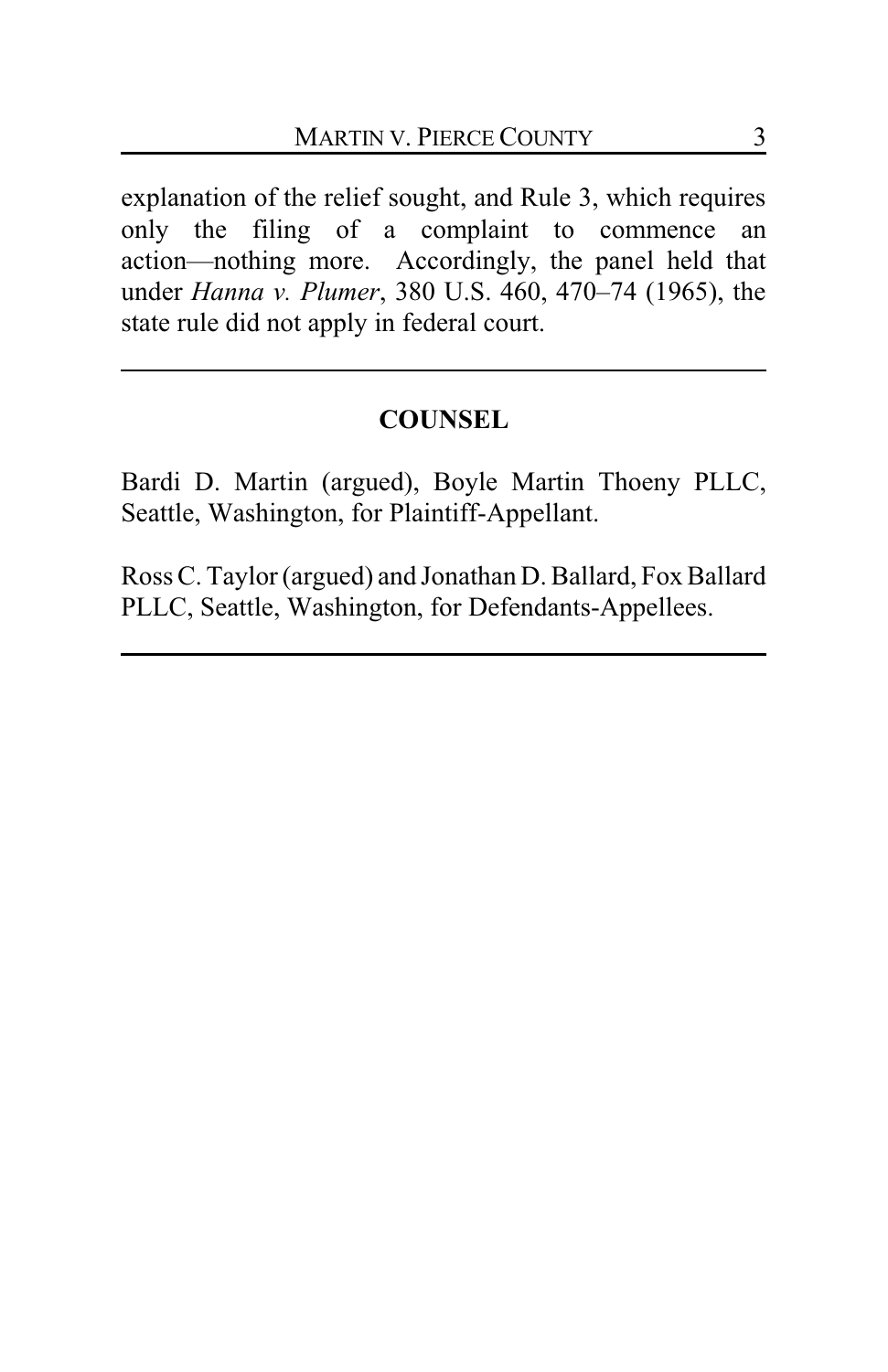explanation of the relief sought, and Rule 3, which requires only the filing of a complaint to commence an action—nothing more. Accordingly, the panel held that under *Hanna v. Plumer*, 380 U.S. 460, 470–74 (1965), the state rule did not apply in federal court.

## **COUNSEL**

Bardi D. Martin (argued), Boyle Martin Thoeny PLLC, Seattle, Washington, for Plaintiff-Appellant.

Ross C. Taylor (argued) and Jonathan D. Ballard, Fox Ballard PLLC, Seattle, Washington, for Defendants-Appellees.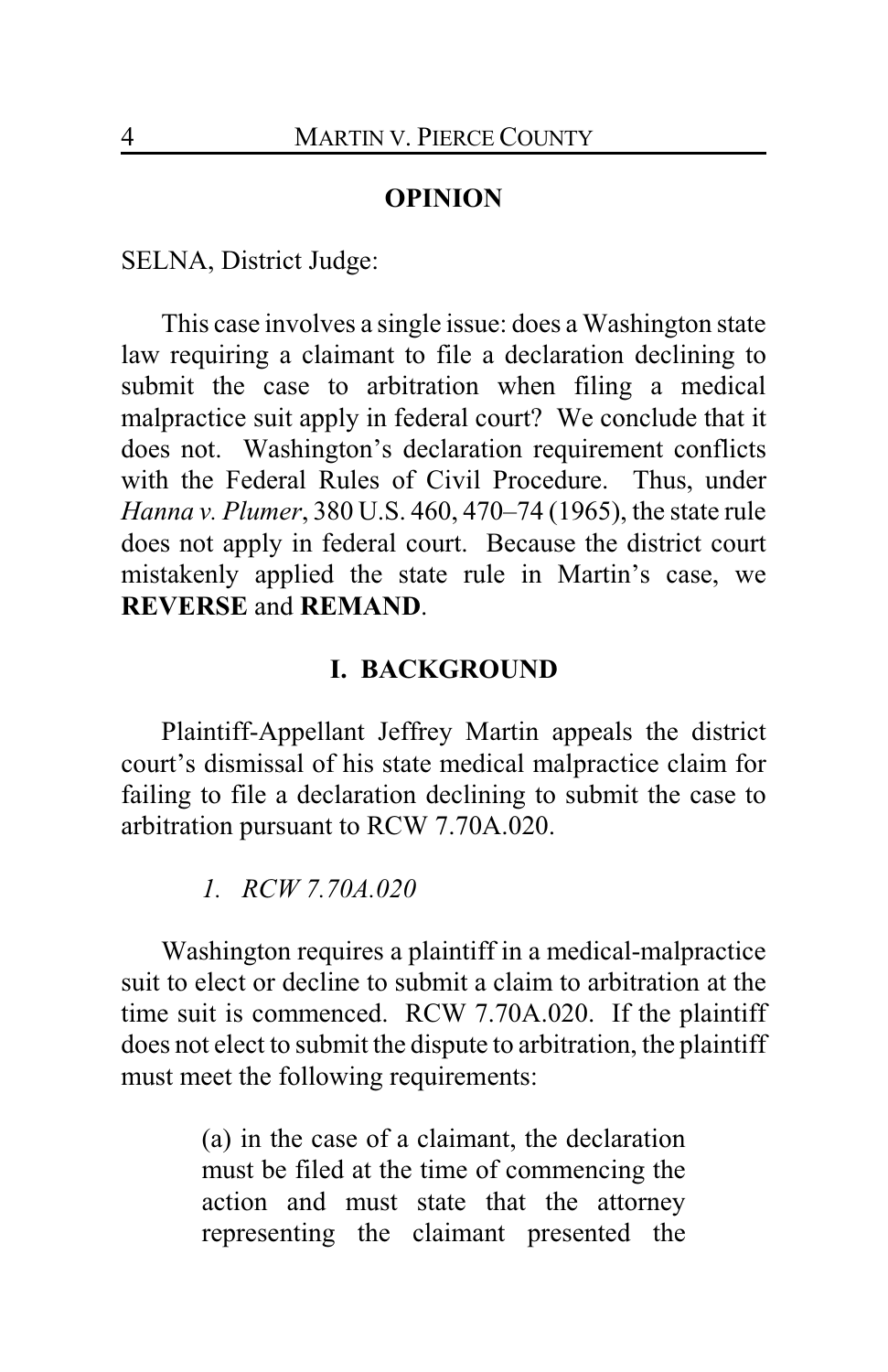#### **OPINION**

SELNA, District Judge:

This case involves a single issue: does a Washington state law requiring a claimant to file a declaration declining to submit the case to arbitration when filing a medical malpractice suit apply in federal court? We conclude that it does not. Washington's declaration requirement conflicts with the Federal Rules of Civil Procedure. Thus, under *Hanna v. Plumer*, 380 U.S. 460, 470–74 (1965), the state rule does not apply in federal court. Because the district court mistakenly applied the state rule in Martin's case, we **REVERSE** and **REMAND**.

#### **I. BACKGROUND**

Plaintiff-Appellant Jeffrey Martin appeals the district court's dismissal of his state medical malpractice claim for failing to file a declaration declining to submit the case to arbitration pursuant to RCW 7.70A.020.

*1. RCW 7.70A.020*

Washington requires a plaintiff in a medical-malpractice suit to elect or decline to submit a claim to arbitration at the time suit is commenced. RCW 7.70A.020. If the plaintiff does not elect to submit the dispute to arbitration, the plaintiff must meet the following requirements:

> (a) in the case of a claimant, the declaration must be filed at the time of commencing the action and must state that the attorney representing the claimant presented the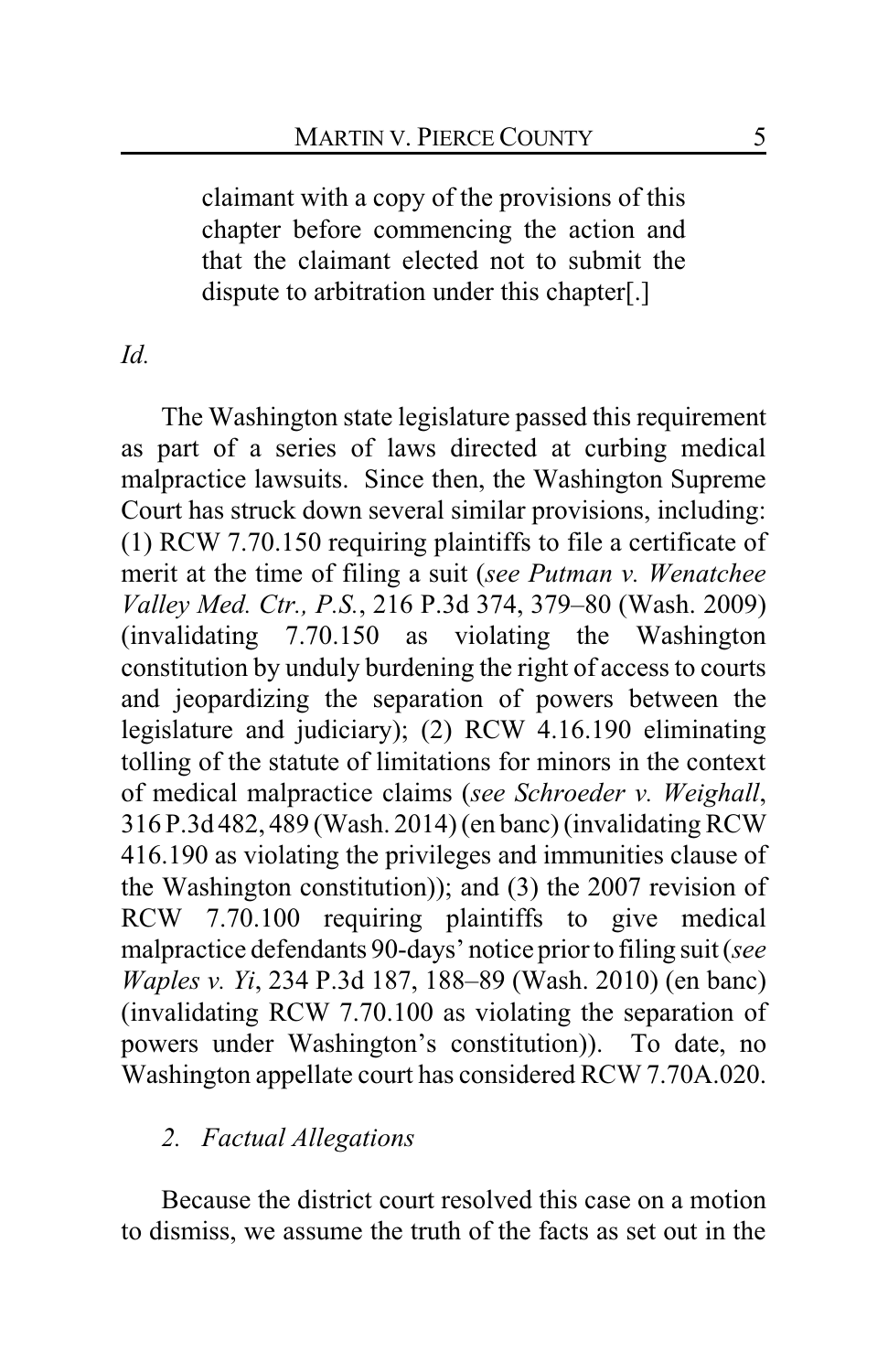claimant with a copy of the provisions of this chapter before commencing the action and that the claimant elected not to submit the dispute to arbitration under this chapter[.]

## *Id.*

The Washington state legislature passed this requirement as part of a series of laws directed at curbing medical malpractice lawsuits. Since then, the Washington Supreme Court has struck down several similar provisions, including: (1) RCW 7.70.150 requiring plaintiffs to file a certificate of merit at the time of filing a suit (*see Putman v. Wenatchee Valley Med. Ctr., P.S.*, 216 P.3d 374, 379–80 (Wash. 2009) (invalidating 7.70.150 as violating the Washington constitution by unduly burdening the right of access to courts and jeopardizing the separation of powers between the legislature and judiciary); (2) RCW 4.16.190 eliminating tolling of the statute of limitations for minors in the context of medical malpractice claims (*see Schroeder v. Weighall*, 316 P.3d 482, 489 (Wash. 2014) (en banc) (invalidating RCW 416.190 as violating the privileges and immunities clause of the Washington constitution)); and (3) the 2007 revision of RCW 7.70.100 requiring plaintiffs to give medical malpractice defendants 90-days' notice prior to filing suit (*see Waples v. Yi*, 234 P.3d 187, 188–89 (Wash. 2010) (en banc) (invalidating RCW 7.70.100 as violating the separation of powers under Washington's constitution)). To date, no Washington appellate court has considered RCW 7.70A.020.

## *2. Factual Allegations*

Because the district court resolved this case on a motion to dismiss, we assume the truth of the facts as set out in the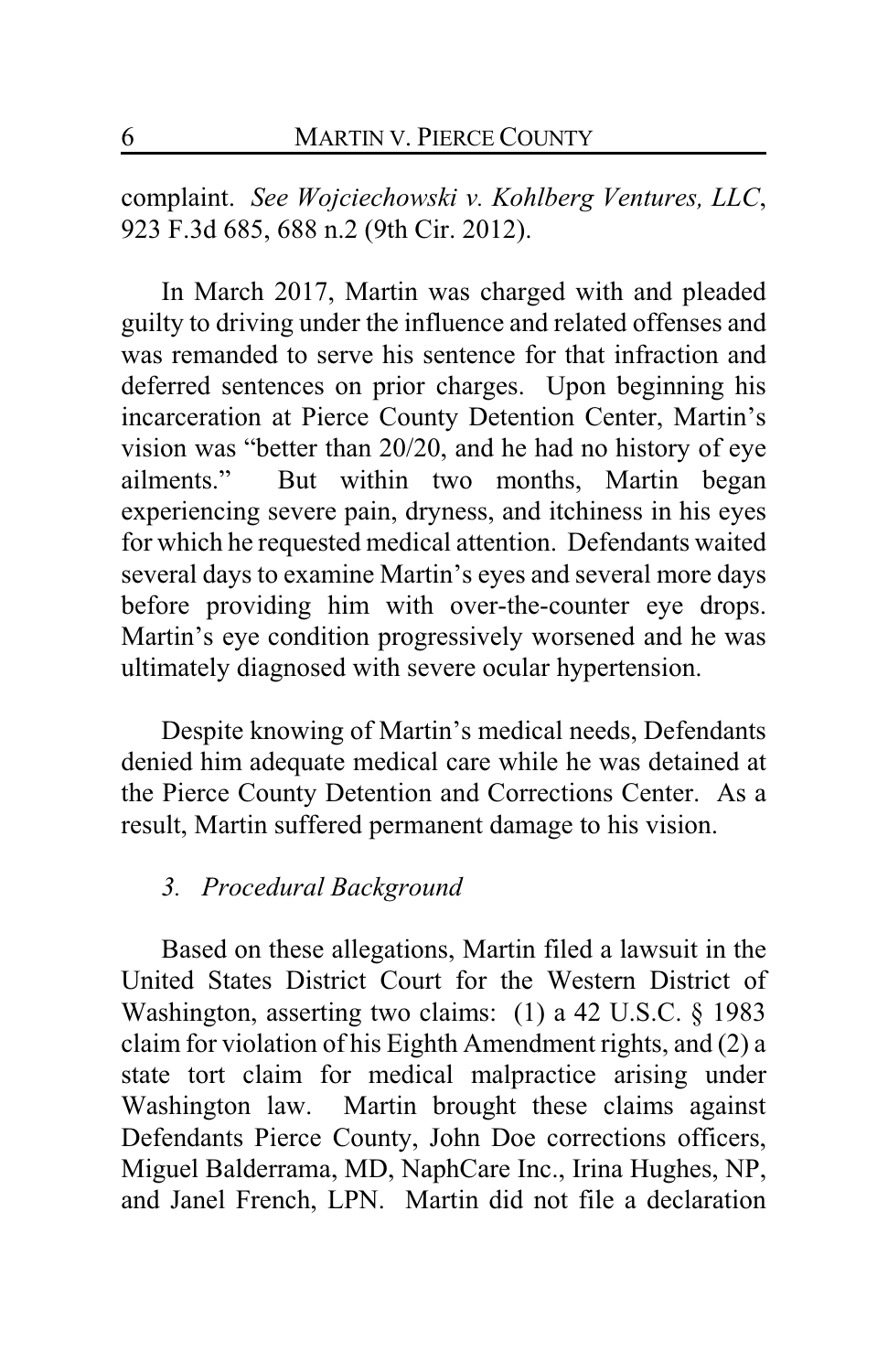complaint. *See Wojciechowski v. Kohlberg Ventures, LLC*, 923 F.3d 685, 688 n.2 (9th Cir. 2012).

In March 2017, Martin was charged with and pleaded guilty to driving under the influence and related offenses and was remanded to serve his sentence for that infraction and deferred sentences on prior charges. Upon beginning his incarceration at Pierce County Detention Center, Martin's vision was "better than 20/20, and he had no history of eye ailments." But within two months, Martin began experiencing severe pain, dryness, and itchiness in his eyes for which he requested medical attention. Defendants waited several days to examine Martin's eyes and several more days before providing him with over-the-counter eye drops. Martin's eye condition progressively worsened and he was ultimately diagnosed with severe ocular hypertension.

Despite knowing of Martin's medical needs, Defendants denied him adequate medical care while he was detained at the Pierce County Detention and Corrections Center. As a result, Martin suffered permanent damage to his vision.

#### *3. Procedural Background*

Based on these allegations, Martin filed a lawsuit in the United States District Court for the Western District of Washington, asserting two claims: (1) a 42 U.S.C. § 1983 claim for violation of his Eighth Amendment rights, and (2) a state tort claim for medical malpractice arising under Washington law. Martin brought these claims against Defendants Pierce County, John Doe corrections officers, Miguel Balderrama, MD, NaphCare Inc., Irina Hughes, NP, and Janel French, LPN. Martin did not file a declaration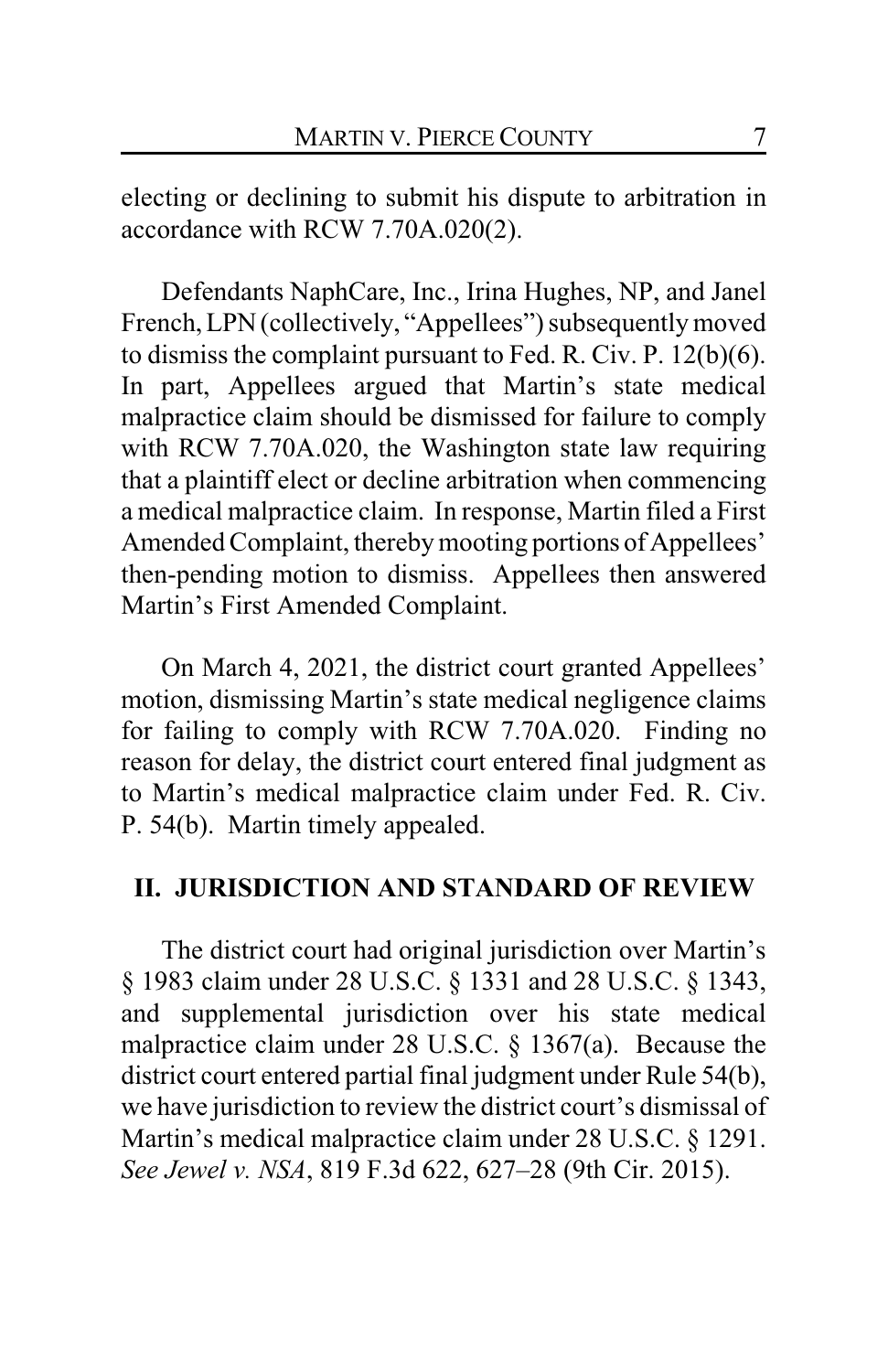electing or declining to submit his dispute to arbitration in accordance with RCW 7.70A.020(2).

Defendants NaphCare, Inc., Irina Hughes, NP, and Janel French,LPN(collectively, "Appellees") subsequently moved to dismiss the complaint pursuant to Fed. R. Civ. P. 12(b)(6). In part, Appellees argued that Martin's state medical malpractice claim should be dismissed for failure to comply with RCW 7.70A.020, the Washington state law requiring that a plaintiff elect or decline arbitration when commencing a medical malpractice claim. In response, Martin filed a First Amended Complaint, thereby mooting portions of Appellees' then-pending motion to dismiss. Appellees then answered Martin's First Amended Complaint.

On March 4, 2021, the district court granted Appellees' motion, dismissing Martin's state medical negligence claims for failing to comply with RCW 7.70A.020. Finding no reason for delay, the district court entered final judgment as to Martin's medical malpractice claim under Fed. R. Civ. P. 54(b). Martin timely appealed.

## **II. JURISDICTION AND STANDARD OF REVIEW**

The district court had original jurisdiction over Martin's § 1983 claim under 28 U.S.C. § 1331 and 28 U.S.C. § 1343, and supplemental jurisdiction over his state medical malpractice claim under 28 U.S.C. § 1367(a). Because the district court entered partial final judgment under Rule 54(b), we have jurisdiction to review the district court's dismissal of Martin's medical malpractice claim under 28 U.S.C. § 1291. *See Jewel v. NSA*, 819 F.3d 622, 627–28 (9th Cir. 2015).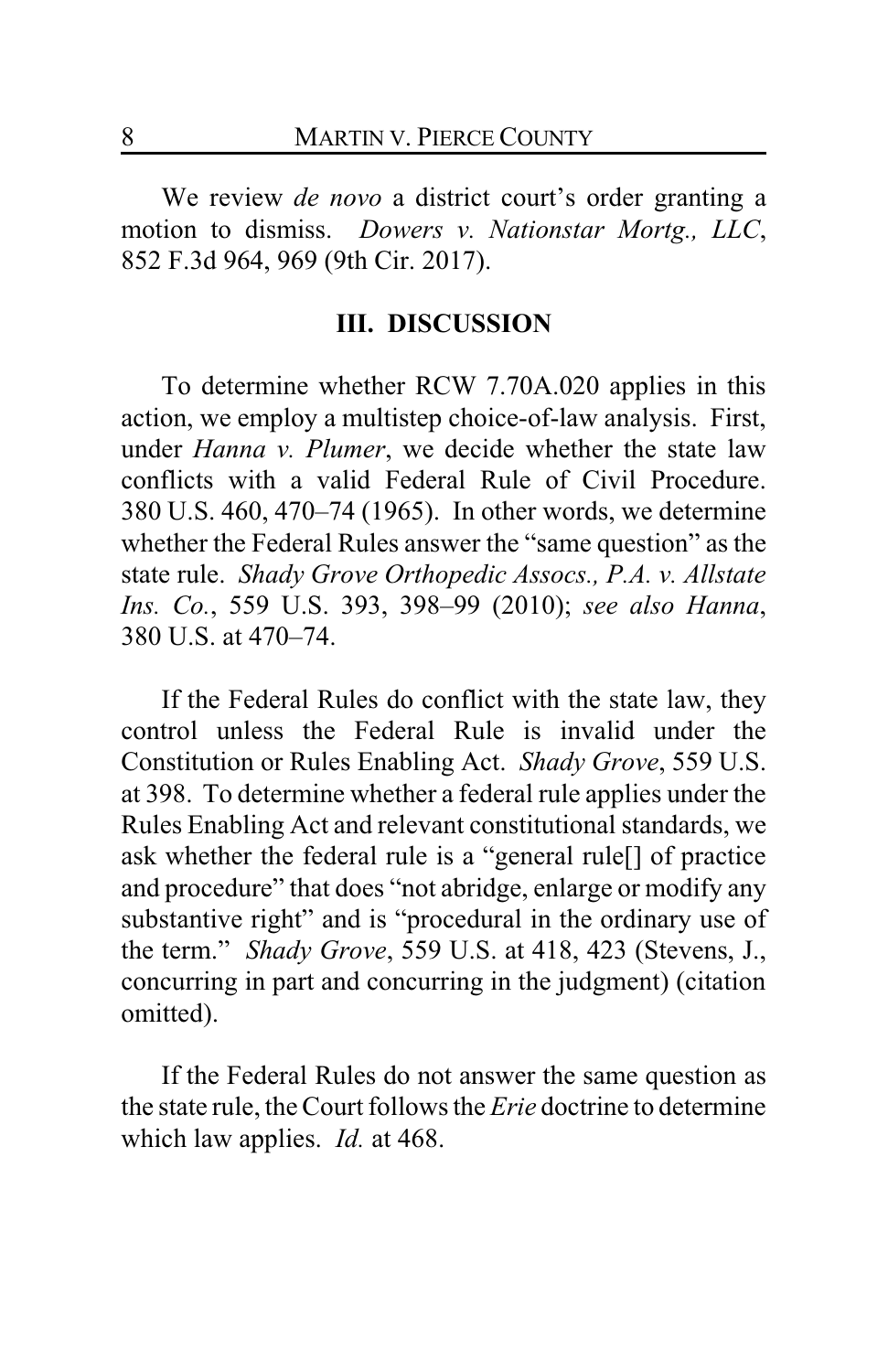We review *de novo* a district court's order granting a motion to dismiss. *Dowers v. Nationstar Mortg., LLC*, 852 F.3d 964, 969 (9th Cir. 2017).

#### **III. DISCUSSION**

To determine whether RCW 7.70A.020 applies in this action, we employ a multistep choice-of-law analysis. First, under *Hanna v. Plumer*, we decide whether the state law conflicts with a valid Federal Rule of Civil Procedure. 380 U.S. 460, 470–74 (1965). In other words, we determine whether the Federal Rules answer the "same question" as the state rule. *Shady Grove Orthopedic Assocs., P.A. v. Allstate Ins. Co.*, 559 U.S. 393, 398–99 (2010); *see also Hanna*, 380 U.S. at 470–74.

If the Federal Rules do conflict with the state law, they control unless the Federal Rule is invalid under the Constitution or Rules Enabling Act. *Shady Grove*, 559 U.S. at 398. To determine whether a federal rule applies under the Rules Enabling Act and relevant constitutional standards, we ask whether the federal rule is a "general rule[] of practice and procedure" that does "not abridge, enlarge or modify any substantive right" and is "procedural in the ordinary use of the term." *Shady Grove*, 559 U.S. at 418, 423 (Stevens, J., concurring in part and concurring in the judgment) (citation omitted).

If the Federal Rules do not answer the same question as the state rule, the Court follows the *Erie* doctrine to determine which law applies. *Id.* at 468.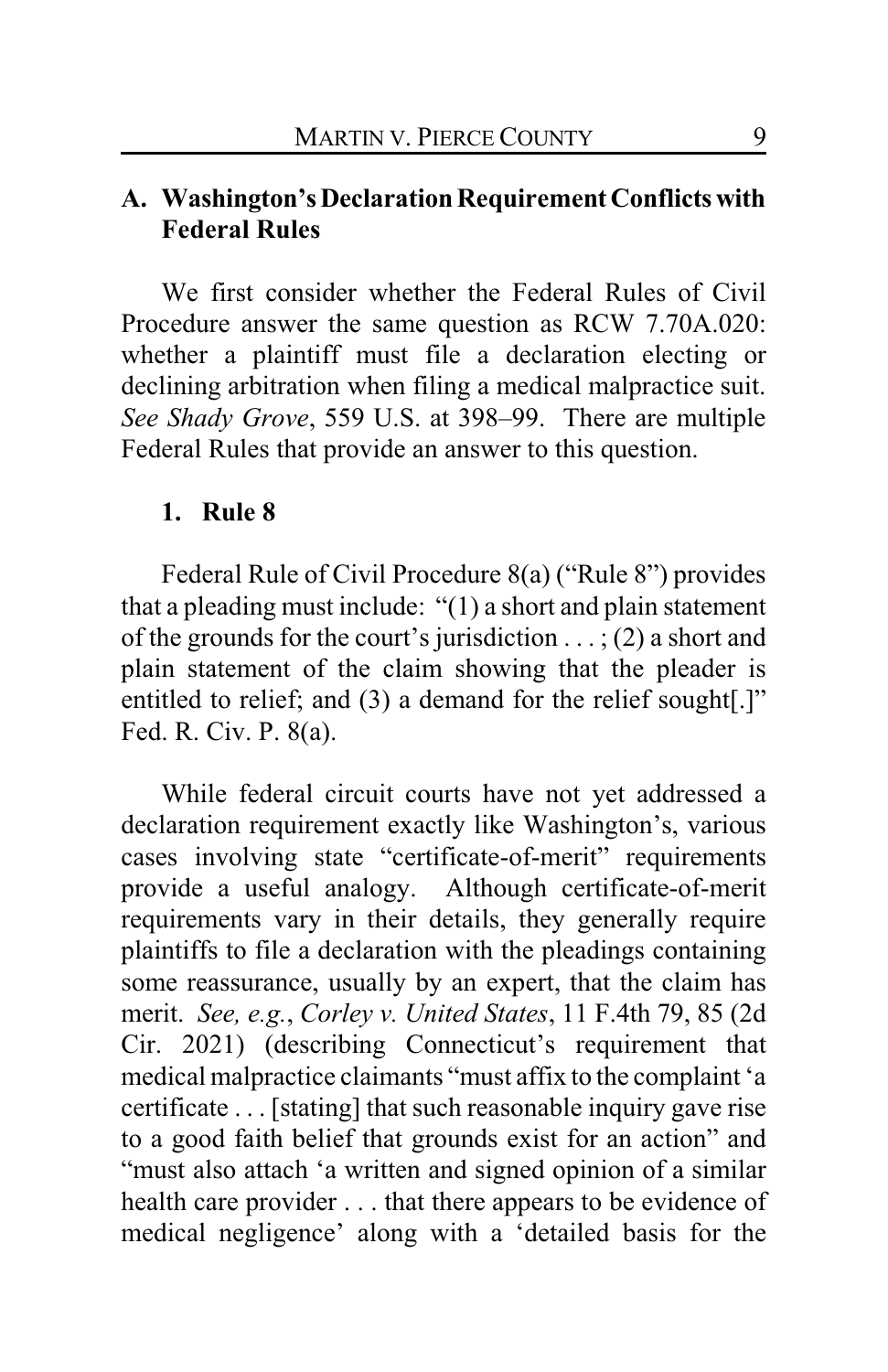# **A. Washington'sDeclarationRequirement Conflictswith Federal Rules**

We first consider whether the Federal Rules of Civil Procedure answer the same question as RCW 7.70A.020: whether a plaintiff must file a declaration electing or declining arbitration when filing a medical malpractice suit. *See Shady Grove*, 559 U.S. at 398–99. There are multiple Federal Rules that provide an answer to this question.

#### **1. Rule 8**

Federal Rule of Civil Procedure 8(a) ("Rule 8") provides that a pleading must include: "(1) a short and plain statement of the grounds for the court's jurisdiction  $\ldots$ ; (2) a short and plain statement of the claim showing that the pleader is entitled to relief; and (3) a demand for the relief sought[.]" Fed. R. Civ. P. 8(a).

While federal circuit courts have not yet addressed a declaration requirement exactly like Washington's, various cases involving state "certificate-of-merit" requirements provide a useful analogy. Although certificate-of-merit requirements vary in their details, they generally require plaintiffs to file a declaration with the pleadings containing some reassurance, usually by an expert, that the claim has merit. *See, e.g.*, *Corley v. United States*, 11 F.4th 79, 85 (2d Cir. 2021) (describing Connecticut's requirement that medical malpractice claimants "must affix to the complaint 'a certificate . . . [stating] that such reasonable inquiry gave rise to a good faith belief that grounds exist for an action" and "must also attach 'a written and signed opinion of a similar health care provider . . . that there appears to be evidence of medical negligence' along with a 'detailed basis for the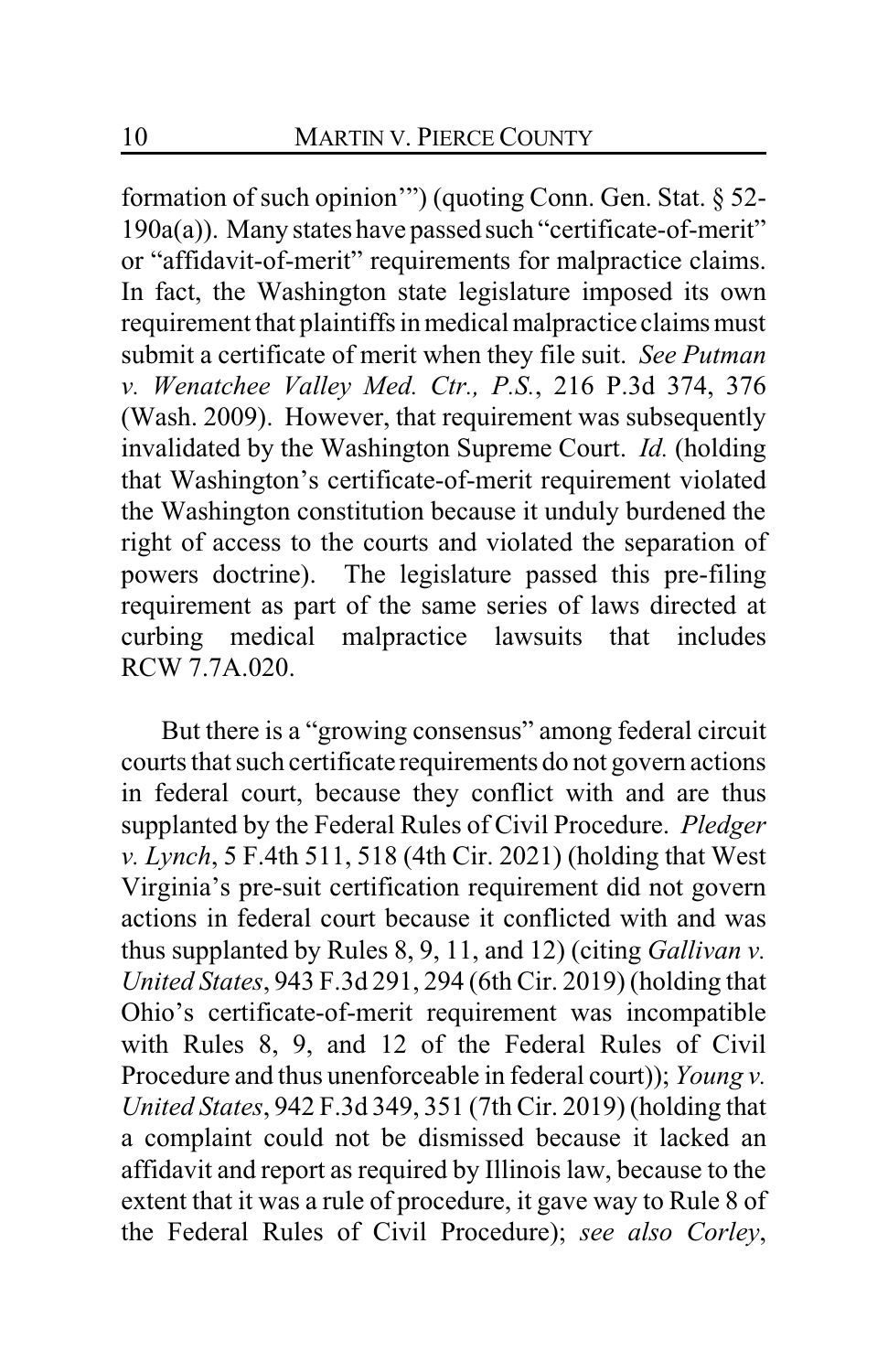formation of such opinion'") (quoting Conn. Gen. Stat. § 52- 190a(a)). Many states have passed such "certificate-of-merit" or "affidavit-of-merit" requirements for malpractice claims. In fact, the Washington state legislature imposed its own requirement that plaintiffs in medical malpractice claims must submit a certificate of merit when they file suit. *See Putman v. Wenatchee Valley Med. Ctr., P.S.*, 216 P.3d 374, 376 (Wash. 2009). However, that requirement was subsequently invalidated by the Washington Supreme Court. *Id.* (holding that Washington's certificate-of-merit requirement violated the Washington constitution because it unduly burdened the right of access to the courts and violated the separation of powers doctrine). The legislature passed this pre-filing requirement as part of the same series of laws directed at curbing medical malpractice lawsuits that includes RCW 7.7A.020.

But there is a "growing consensus" among federal circuit courts that such certificate requirements do not govern actions in federal court, because they conflict with and are thus supplanted by the Federal Rules of Civil Procedure. *Pledger v. Lynch*, 5 F.4th 511, 518 (4th Cir. 2021) (holding that West Virginia's pre-suit certification requirement did not govern actions in federal court because it conflicted with and was thus supplanted by Rules 8, 9, 11, and 12) (citing *Gallivan v. United States*, 943 F.3d 291, 294 (6th Cir. 2019) (holding that Ohio's certificate-of-merit requirement was incompatible with Rules 8, 9, and 12 of the Federal Rules of Civil Procedure and thus unenforceable in federal court)); *Young v. United States*, 942 F.3d 349, 351 (7th Cir. 2019) (holding that a complaint could not be dismissed because it lacked an affidavit and report as required by Illinois law, because to the extent that it was a rule of procedure, it gave way to Rule 8 of the Federal Rules of Civil Procedure); *see also Corley*,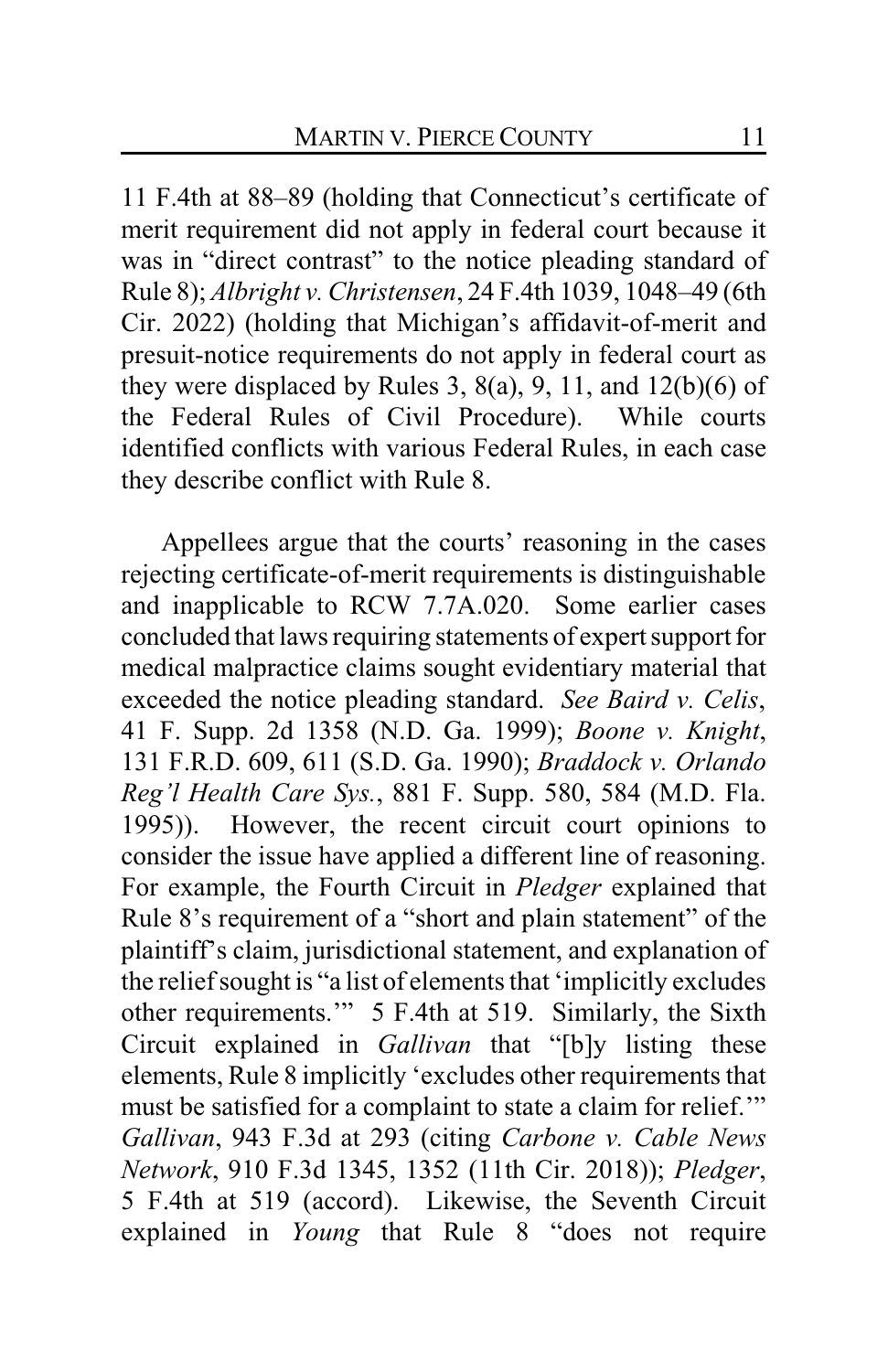11 F.4th at 88–89 (holding that Connecticut's certificate of merit requirement did not apply in federal court because it was in "direct contrast" to the notice pleading standard of Rule 8); *Albright v. Christensen*, 24 F.4th 1039, 1048–49 (6th Cir. 2022) (holding that Michigan's affidavit-of-merit and presuit-notice requirements do not apply in federal court as they were displaced by Rules 3,  $8(a)$ , 9, 11, and  $12(b)(6)$  of the Federal Rules of Civil Procedure). While courts identified conflicts with various Federal Rules, in each case they describe conflict with Rule 8.

Appellees argue that the courts' reasoning in the cases rejecting certificate-of-merit requirements is distinguishable and inapplicable to RCW 7.7A.020. Some earlier cases concluded that laws requiring statements of expert support for medical malpractice claims sought evidentiary material that exceeded the notice pleading standard. *See Baird v. Celis*, 41 F. Supp. 2d 1358 (N.D. Ga. 1999); *Boone v. Knight*, 131 F.R.D. 609, 611 (S.D. Ga. 1990); *Braddock v. Orlando Reg'l Health Care Sys.*, 881 F. Supp. 580, 584 (M.D. Fla. 1995)). However, the recent circuit court opinions to consider the issue have applied a different line of reasoning. For example, the Fourth Circuit in *Pledger* explained that Rule 8's requirement of a "short and plain statement" of the plaintiff's claim, jurisdictional statement, and explanation of the relief sought is "a list of elements that 'implicitly excludes other requirements.'" 5 F.4th at 519. Similarly, the Sixth Circuit explained in *Gallivan* that "[b]y listing these elements, Rule 8 implicitly 'excludes other requirements that must be satisfied for a complaint to state a claim for relief.'" *Gallivan*, 943 F.3d at 293 (citing *Carbone v. Cable News Network*, 910 F.3d 1345, 1352 (11th Cir. 2018)); *Pledger*, 5 F.4th at 519 (accord). Likewise, the Seventh Circuit explained in *Young* that Rule 8 "does not require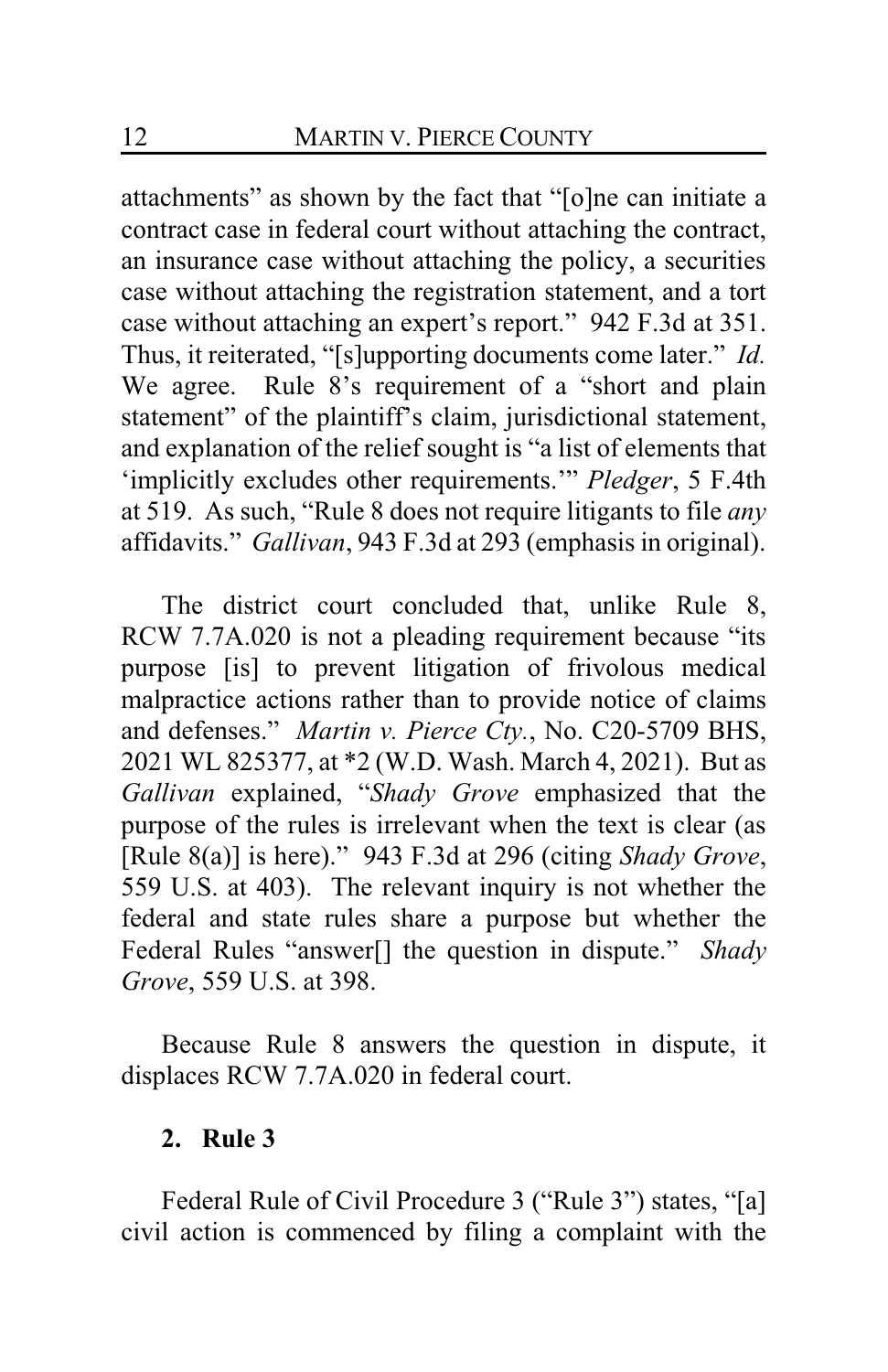attachments" as shown by the fact that "[o]ne can initiate a contract case in federal court without attaching the contract, an insurance case without attaching the policy, a securities case without attaching the registration statement, and a tort case without attaching an expert's report." 942 F.3d at 351. Thus, it reiterated, "[s]upporting documents come later." *Id.*  We agree. Rule 8's requirement of a "short and plain statement" of the plaintiff's claim, jurisdictional statement, and explanation of the relief sought is "a list of elements that 'implicitly excludes other requirements.'" *Pledger*, 5 F.4th at 519. As such, "Rule 8 does not require litigants to file *any* affidavits." *Gallivan*, 943 F.3d at 293 (emphasis in original).

The district court concluded that, unlike Rule 8, RCW 7.7A.020 is not a pleading requirement because "its purpose [is] to prevent litigation of frivolous medical malpractice actions rather than to provide notice of claims and defenses." *Martin v. Pierce Cty.*, No. C20-5709 BHS, 2021 WL 825377, at \*2 (W.D. Wash. March 4, 2021). But as *Gallivan* explained, "*Shady Grove* emphasized that the purpose of the rules is irrelevant when the text is clear (as [Rule 8(a)] is here)." 943 F.3d at 296 (citing *Shady Grove*, 559 U.S. at 403). The relevant inquiry is not whether the federal and state rules share a purpose but whether the Federal Rules "answer[] the question in dispute." *Shady Grove*, 559 U.S. at 398.

Because Rule 8 answers the question in dispute, it displaces RCW 7.7A.020 in federal court.

## **2. Rule 3**

Federal Rule of Civil Procedure 3 ("Rule 3") states, "[a] civil action is commenced by filing a complaint with the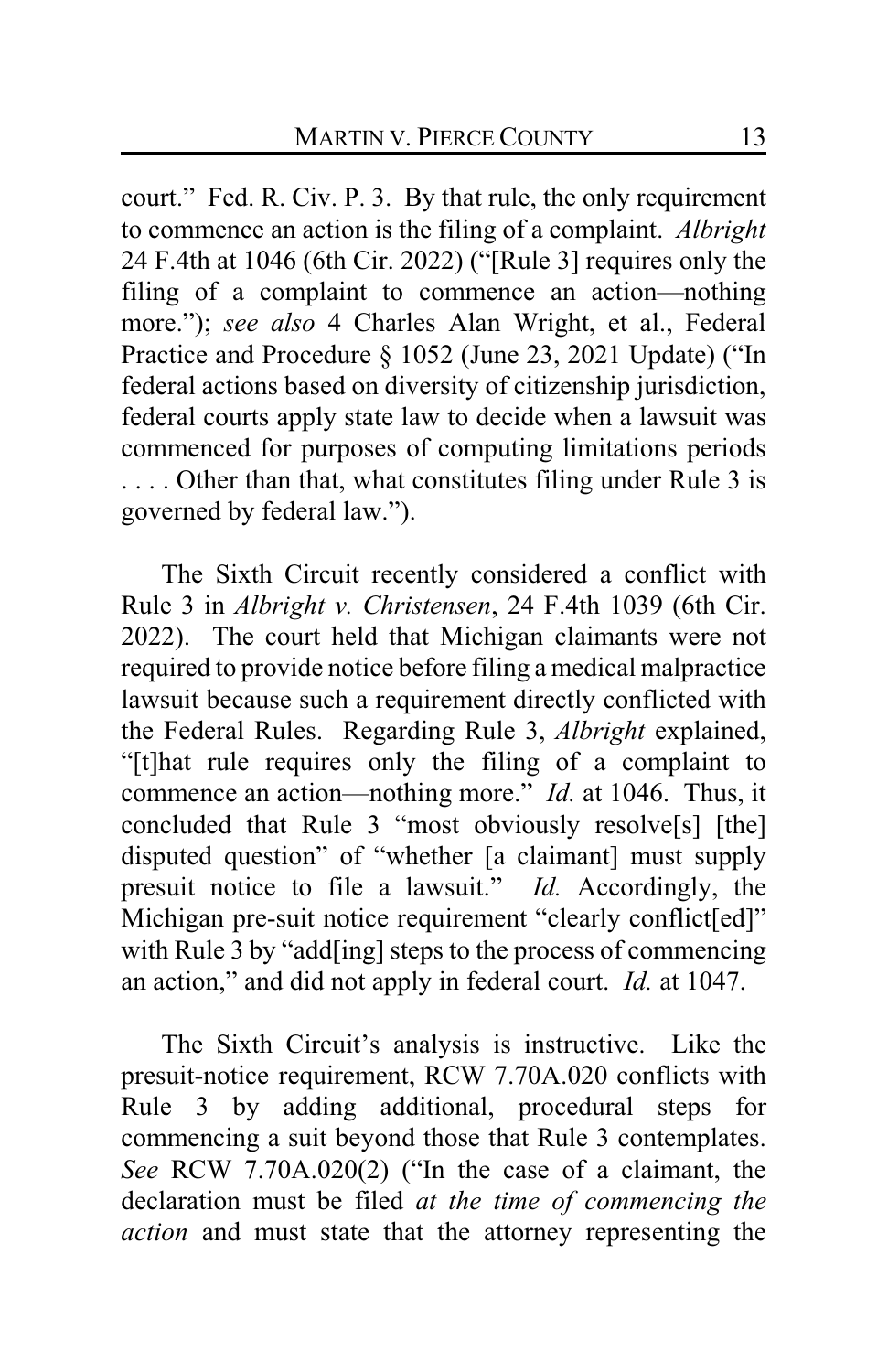court." Fed. R. Civ. P. 3. By that rule, the only requirement to commence an action is the filing of a complaint. *Albright*  24 F.4th at 1046 (6th Cir. 2022) ("[Rule 3] requires only the filing of a complaint to commence an action—nothing more."); *see also* 4 Charles Alan Wright, et al., Federal Practice and Procedure § 1052 (June 23, 2021 Update) ("In federal actions based on diversity of citizenship jurisdiction, federal courts apply state law to decide when a lawsuit was commenced for purposes of computing limitations periods . . . . Other than that, what constitutes filing under Rule 3 is governed by federal law.").

The Sixth Circuit recently considered a conflict with Rule 3 in *Albright v. Christensen*, 24 F.4th 1039 (6th Cir. 2022). The court held that Michigan claimants were not required to provide notice before filing a medical malpractice lawsuit because such a requirement directly conflicted with the Federal Rules. Regarding Rule 3, *Albright* explained, "[t]hat rule requires only the filing of a complaint to commence an action—nothing more." *Id.* at 1046. Thus, it concluded that Rule 3 "most obviously resolve[s] [the] disputed question" of "whether [a claimant] must supply presuit notice to file a lawsuit." *Id.* Accordingly, the Michigan pre-suit notice requirement "clearly conflict[ed]" with Rule 3 by "add[ing] steps to the process of commencing an action," and did not apply in federal court. *Id.* at 1047.

The Sixth Circuit's analysis is instructive. Like the presuit-notice requirement, RCW 7.70A.020 conflicts with Rule 3 by adding additional, procedural steps for commencing a suit beyond those that Rule 3 contemplates. *See* RCW 7.70A.020(2) ("In the case of a claimant, the declaration must be filed *at the time of commencing the action* and must state that the attorney representing the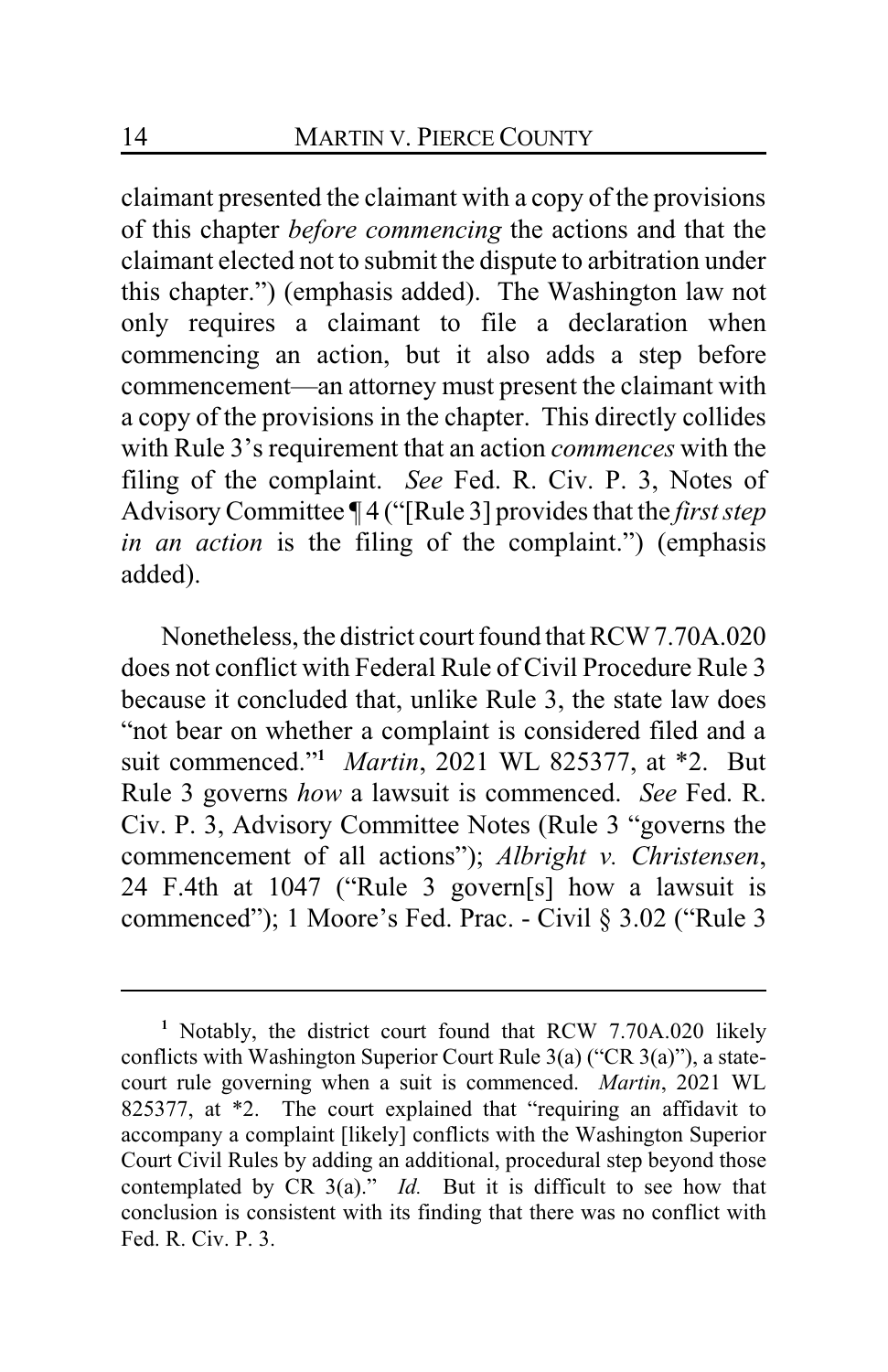claimant presented the claimant with a copy of the provisions of this chapter *before commencing* the actions and that the claimant elected not to submit the dispute to arbitration under this chapter.") (emphasis added). The Washington law not only requires a claimant to file a declaration when commencing an action, but it also adds a step before commencement—an attorney must present the claimant with a copy of the provisions in the chapter. This directly collides with Rule 3's requirement that an action *commences* with the filing of the complaint. *See* Fed. R. Civ. P. 3, Notes of Advisory Committee ¶ 4 ("[Rule 3] provides that the *first step in an action* is the filing of the complaint.") (emphasis added).

Nonetheless, the district court found that RCW7.70A.020 does not conflict with Federal Rule of Civil Procedure Rule 3 because it concluded that, unlike Rule 3, the state law does "not bear on whether a complaint is considered filed and a suit commenced."**<sup>1</sup>** *Martin*, 2021 WL 825377, at \*2. But Rule 3 governs *how* a lawsuit is commenced. *See* Fed. R. Civ. P. 3, Advisory Committee Notes (Rule 3 "governs the commencement of all actions"); *Albright v. Christensen*, 24 F.4th at 1047 ("Rule 3 govern[s] how a lawsuit is commenced"); 1 Moore's Fed. Prac. - Civil § 3.02 ("Rule 3

**<sup>1</sup>** Notably, the district court found that RCW 7.70A.020 likely conflicts with Washington Superior Court Rule 3(a) ("CR 3(a)"), a statecourt rule governing when a suit is commenced. *Martin*, 2021 WL 825377, at \*2. The court explained that "requiring an affidavit to accompany a complaint [likely] conflicts with the Washington Superior Court Civil Rules by adding an additional, procedural step beyond those contemplated by CR 3(a)." *Id.* But it is difficult to see how that conclusion is consistent with its finding that there was no conflict with Fed. R. Civ. P. 3.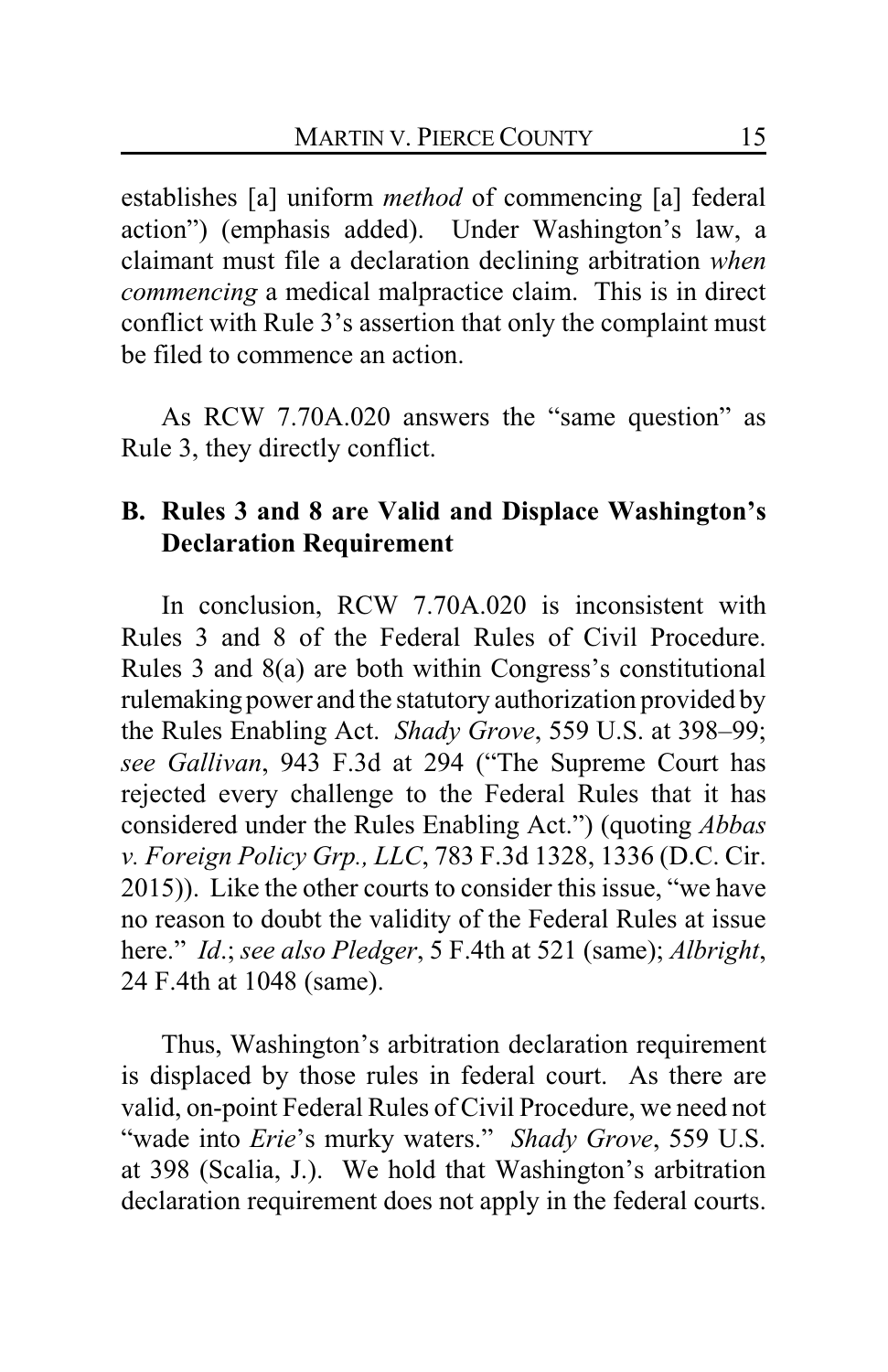establishes [a] uniform *method* of commencing [a] federal action") (emphasis added). Under Washington's law, a claimant must file a declaration declining arbitration *when commencing* a medical malpractice claim. This is in direct conflict with Rule 3's assertion that only the complaint must be filed to commence an action.

As RCW 7.70A.020 answers the "same question" as Rule 3, they directly conflict.

# **B. Rules 3 and 8 are Valid and Displace Washington's Declaration Requirement**

In conclusion, RCW 7.70A.020 is inconsistent with Rules 3 and 8 of the Federal Rules of Civil Procedure. Rules 3 and 8(a) are both within Congress's constitutional rulemaking power and the statutory authorization provided by the Rules Enabling Act. *Shady Grove*, 559 U.S. at 398–99; *see Gallivan*, 943 F.3d at 294 ("The Supreme Court has rejected every challenge to the Federal Rules that it has considered under the Rules Enabling Act.") (quoting *Abbas v. Foreign Policy Grp., LLC*, 783 F.3d 1328, 1336 (D.C. Cir. 2015)). Like the other courts to consider this issue, "we have no reason to doubt the validity of the Federal Rules at issue here." *Id*.; *see also Pledger*, 5 F.4th at 521 (same); *Albright*, 24 F.4th at 1048 (same).

Thus, Washington's arbitration declaration requirement is displaced by those rules in federal court. As there are valid, on-point Federal Rules of Civil Procedure, we need not "wade into *Erie*'s murky waters." *Shady Grove*, 559 U.S. at 398 (Scalia, J.). We hold that Washington's arbitration declaration requirement does not apply in the federal courts.